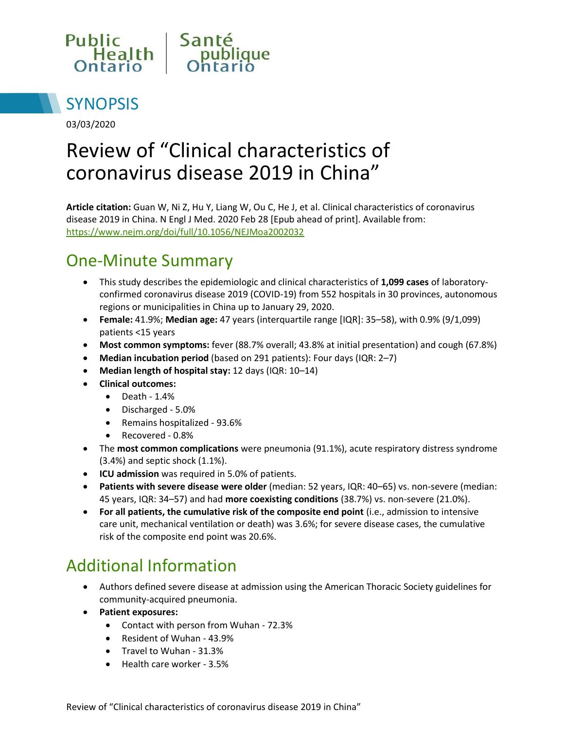



03/03/2020

# Review of "Clinical characteristics of coronavirus disease 2019 in China"

**Article citation:** Guan W, Ni Z, Hu Y, Liang W, Ou C, He J, et al. Clinical characteristics of coronavirus disease 2019 in China. N Engl J Med. 2020 Feb 28 [Epub ahead of print]. Available from: <https://www.nejm.org/doi/full/10.1056/NEJMoa2002032>

## One-Minute Summary

- This study describes the epidemiologic and clinical characteristics of **1,099 cases** of laboratoryconfirmed coronavirus disease 2019 (COVID-19) from 552 hospitals in 30 provinces, autonomous regions or municipalities in China up to January 29, 2020.
- **Female:** 41.9%; **Median age:** 47 years (interquartile range [IQR]: 35–58), with 0.9% (9/1,099) patients <15 years
- **Most common symptoms:** fever (88.7% overall; 43.8% at initial presentation) and cough (67.8%)
- **Median incubation period** (based on 291 patients): Four days (IQR: 2–7)
- **Median length of hospital stay:** 12 days (IQR: 10–14)
- **Clinical outcomes:** 
	- $\bullet$  Death 1.4%
	- Discharged 5.0%
	- Remains hospitalized 93.6%
	- Recovered 0.8%
- The **most common complications** were pneumonia (91.1%), acute respiratory distress syndrome (3.4%) and septic shock (1.1%).
- **ICU admission** was required in 5.0% of patients.
- **Patients with severe disease were older** (median: 52 years, IQR: 40–65) vs. non-severe (median: 45 years, IQR: 34–57) and had **more coexisting conditions** (38.7%) vs. non-severe (21.0%).
- **For all patients, the cumulative risk of the composite end point** (i.e., admission to intensive care unit, mechanical ventilation or death) was 3.6%; for severe disease cases, the cumulative risk of the composite end point was 20.6%.

# Additional Information

- Authors defined severe disease at admission using the American Thoracic Society guidelines for community-acquired pneumonia.
- **Patient exposures:**
	- Contact with person from Wuhan 72.3%
	- Resident of Wuhan 43.9%
	- Travel to Wuhan 31.3%
	- Health care worker 3.5%